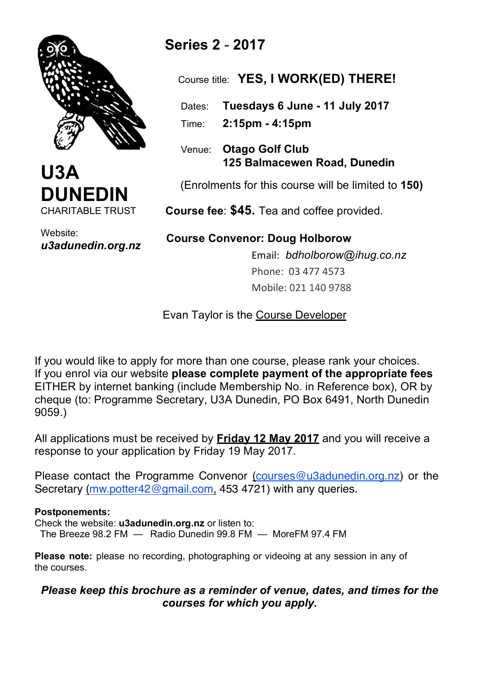



Website: *u3adunedin.org.nz*

# **Series 2** - **2017**

Course title: **YES, I WORK(ED) THERE!**

Dates: **Tuesdays 6 June - 11 July 2017**

Time: **2:15pm - 4:15pm** 

 Venue: **Otago Golf Club 125 Balmacewen Road, Dunedin**

(Enrolments for this course will be limited to **150)**

 **Course fee**: **\$45.** Tea and coffee provided.

 **Course Convenor: Doug Holborow** Email: *bdholborow@ihug.co.nz* Phone: 03 477 4573 Mobile: 021 140 9788

**Evan Taylor is the Course Developer** 

If you would like to apply for more than one course, please rank your choices. If you enrol via our website **please complete payment of the appropriate fees** EITHER by internet banking (include Membership No. in Reference box), OR by cheque (to: Programme Secretary, U3A Dunedin, PO Box 6491, North Dunedin 9059.)

All applications must be received by **Friday 12 May 2017** and you will receive a response to your application by Friday 19 May 2017.

Please contact the Programme Convenor (courses@u3adunedin.org.nz) or the Secretary (mw.potter42@gmail.com, 453 4721) with any queries.

#### **Postponements:**

Check the website: **u3adunedin.org.nz** or listen to: The Breeze 98.2 FM — Radio Dunedin 99.8 FM — MoreFM 97.4 FM

**Please note:** please no recording, photographing or videoing at any session in any of the courses.

## *Please keep this brochure as a reminder of venue, dates, and times for the courses for which you apply.*